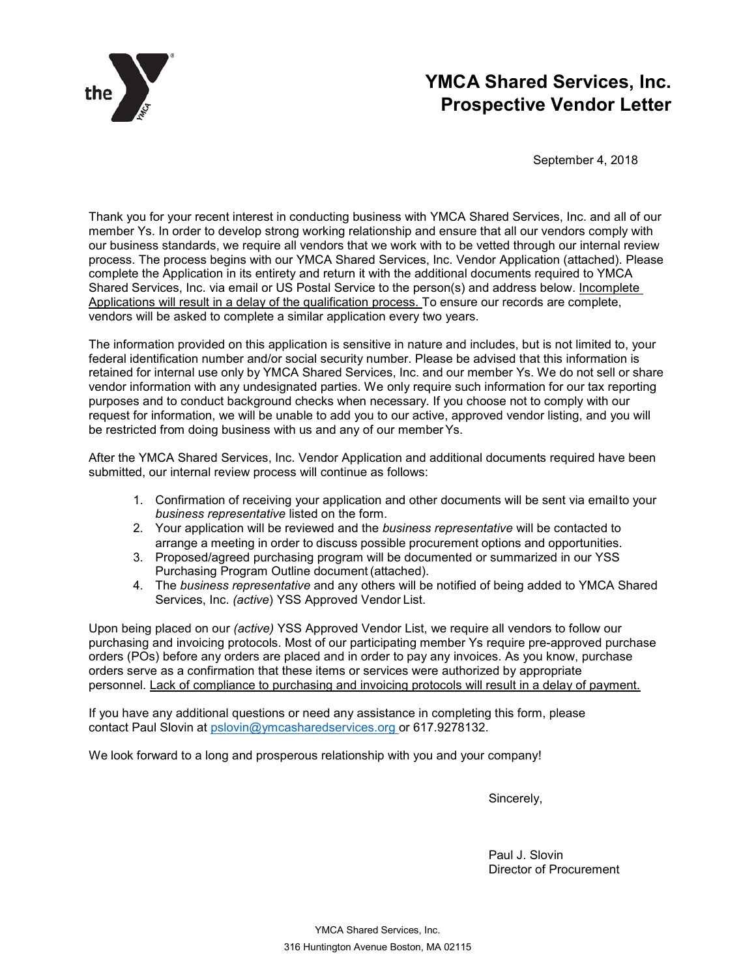

# **YMCA Shared Services, Inc. Prospective Vendor Letter**

September 4, 2018

Thank you for your recent interest in conducting business with YMCA Shared Services, Inc. and all of our member Ys. In order to develop strong working relationship and ensure that all our vendors comply with our business standards, we require all vendors that we work with to be vetted through our internal review process. The process begins with our YMCA Shared Services, Inc. Vendor Application (attached). Please complete the Application in its entirety and return it with the additional documents required to YMCA Shared Services, Inc. via email or US Postal Service to the person(s) and address below. Incomplete Applications will result in a delay of the qualification process. To ensure our records are complete, vendors will be asked to complete a similar application every two years.

The information provided on this application is sensitive in nature and includes, but is not limited to, your federal identification number and/or social security number. Please be advised that this information is retained for internal use only by YMCA Shared Services, Inc. and our member Ys. We do not sell or share vendor information with any undesignated parties. We only require such information for our tax reporting purposes and to conduct background checks when necessary. If you choose not to comply with our request for information, we will be unable to add you to our active, approved vendor listing, and you will be restricted from doing business with us and any of our memberYs.

After the YMCA Shared Services, Inc. Vendor Application and additional documents required have been submitted, our internal review process will continue as follows:

- 1. Confirmation of receiving your application and other documents will be sent via emailto your *business representative* listed on the form.
- 2. Your application will be reviewed and the *business representative* will be contacted to arrange a meeting in order to discuss possible procurement options and opportunities.
- 3. Proposed/agreed purchasing program will be documented or summarized in our YSS Purchasing Program Outline document (attached).
- 4. The *business representative* and any others will be notified of being added to YMCA Shared Services, Inc. *(active*) YSS Approved Vendor List.

Upon being placed on our *(active)* YSS Approved Vendor List, we require all vendors to follow our purchasing and invoicing protocols. Most of our participating member Ys require pre-approved purchase orders (POs) before any orders are placed and in order to pay any invoices. As you know, purchase orders serve as a confirmation that these items or services were authorized by appropriate personnel. Lack of compliance to purchasing and invoicing protocols will result in a delay of payment.

If you have any additional questions or need any assistance in completing this form, please contact Paul Slovin [at pslovin@ymcasharedservices.](mailto:ebagshaw@ymcaboston.org)org or 617.9278132.

We look forward to a long and prosperous relationship with you and your company!

Sincerely,

Paul J. Slovin Director of Procurement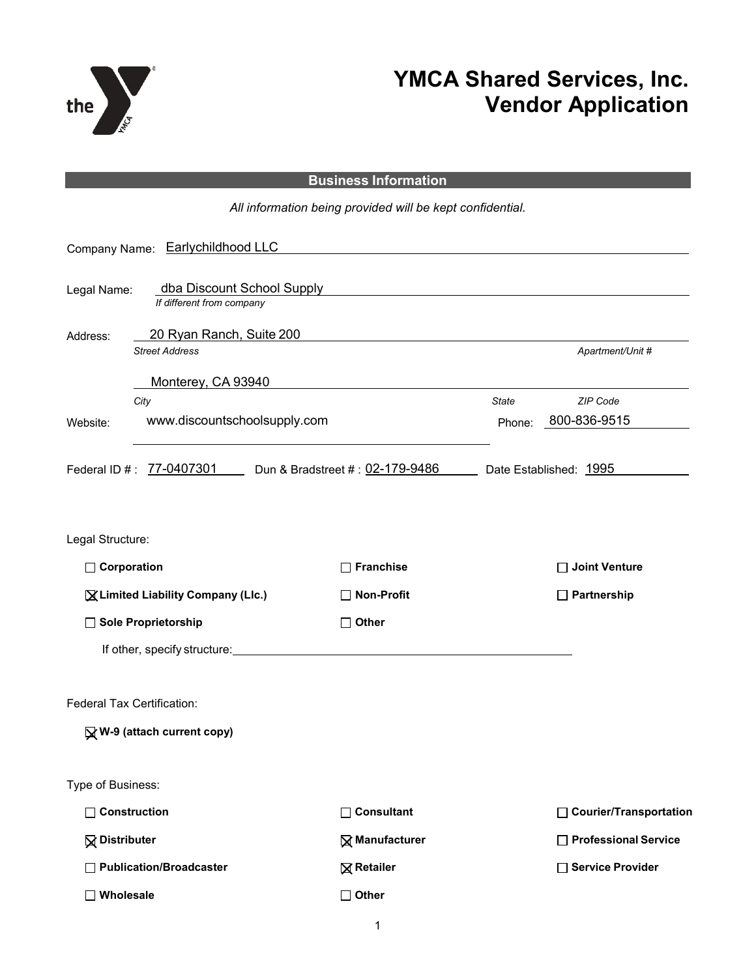

# **YMCA Shared Services, Inc. Vendor Application**

### **Business Information**

*All information being provided will be kept confidential.*

|                                    | Company Name: Earlychildhood LLC                         |                       |              |                          |
|------------------------------------|----------------------------------------------------------|-----------------------|--------------|--------------------------|
| Legal Name:                        | dba Discount School Supply<br>If different from company  |                       |              |                          |
| Address:                           | 20 Ryan Ranch, Suite 200                                 |                       |              |                          |
|                                    | <b>Street Address</b>                                    |                       |              | Apartment/Unit #         |
|                                    | Monterey, CA 93940                                       |                       |              |                          |
|                                    | City                                                     |                       | <b>State</b> | ZIP Code                 |
| Website:                           | www.discountschoolsupply.com                             |                       | Phone:       | 800-836-9515             |
|                                    | Federal ID #: 77-0407301 Dun & Bradstreet #: 02-179-9486 |                       |              | Date Established: 1995   |
| Legal Structure:                   |                                                          |                       |              |                          |
| $\Box$ Corporation                 |                                                          | <b>Franchise</b>      |              | <b>Joint Venture</b>     |
| X Limited Liability Company (Llc.) |                                                          | <b>Non-Profit</b>     |              | $\Box$ Partnership       |
|                                    | Sole Proprietorship                                      | $\Box$ Other          |              |                          |
|                                    | If other, specify structure:                             |                       |              |                          |
|                                    | Federal Tax Certification:<br>W-9 (attach current copy)  |                       |              |                          |
| Type of Business:                  |                                                          |                       |              |                          |
| $\Box$ Construction                |                                                          | $\Box$ Consultant     |              | □ Courier/Transportation |
| <b>Q</b> Distributer               |                                                          | <b>⊠ Manufacturer</b> |              | □ Professional Service   |
|                                    | Publication/Broadcaster                                  | <b>⊠</b> Retailer     |              | □ Service Provider       |
| Wholesale                          |                                                          | Other<br>П            |              |                          |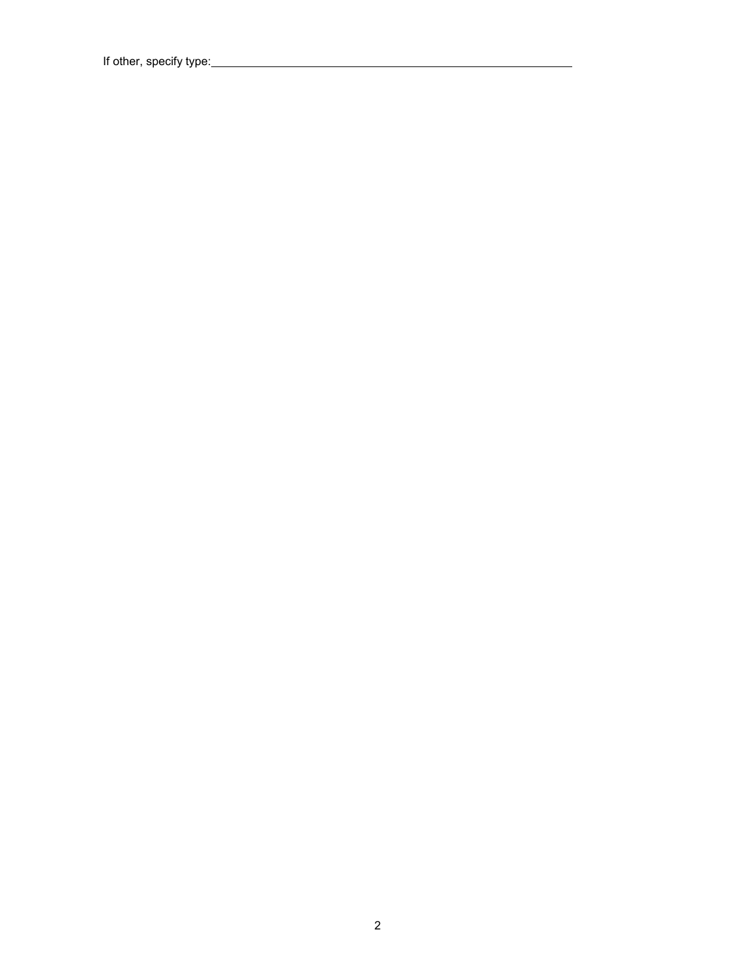If other, specify type: \_\_\_\_\_\_\_\_\_\_\_\_\_\_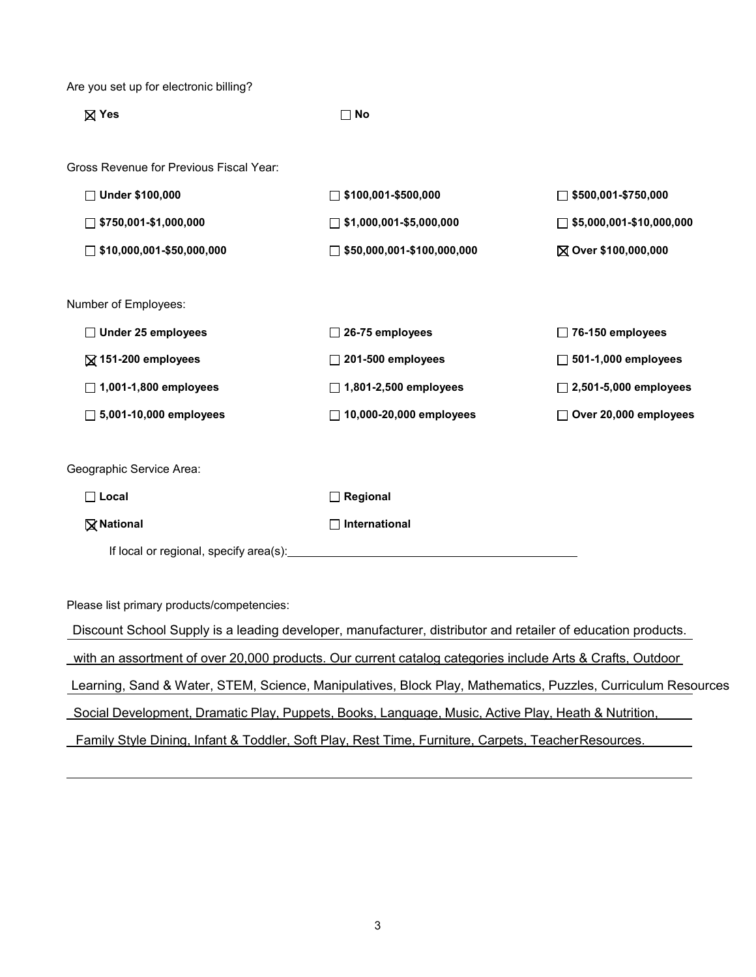Are you set up for electronic billing?

| $\boxtimes$ Yes<br>$\square$ No         |                                   |                                 |
|-----------------------------------------|-----------------------------------|---------------------------------|
| Gross Revenue for Previous Fiscal Year: |                                   |                                 |
| □ Under \$100,000                       | $\Box$ \$100,001-\$500,000        | $\Box$ \$500,001-\$750,000      |
| $\Box$ \$750,001-\$1,000,000            | $\Box$ \$1,000,001-\$5,000,000    | $\Box$ \$5,000,001-\$10,000,000 |
| $\Box$ \$10,000,001-\$50,000,000        | $\Box$ \$50,000,001-\$100,000,000 | ⊠ Over \$100,000,000            |
|                                         |                                   |                                 |
| Number of Employees:                    |                                   |                                 |
| $\Box$ Under 25 employees               | $\Box$ 26-75 employees            | $\Box$ 76-150 employees         |
| $\boxtimes$ 151-200 employees           | $\Box$ 201-500 employees          | $\Box$ 501-1,000 employees      |
| $\Box$ 1,001-1,800 employees            | $\Box$ 1,801-2,500 employees      | $\Box$ 2,501-5,000 employees    |
| $\Box$ 5,001-10,000 employees           | $\Box$ 10,000-20,000 employees    | □ Over 20,000 employees         |
|                                         |                                   |                                 |
| Geographic Service Area:                |                                   |                                 |
| $\Box$ Local                            | $\Box$ Regional                   |                                 |
| <b>⊠</b> National                       | International                     |                                 |
| If local or regional, specify area(s):  |                                   |                                 |

Please list primary products/competencies:

Discount School Supply is a leading developer, manufacturer, distributor and retailer of education products. with an assortment of over 20,000 products. Our current catalog categories include Arts & Crafts, Outdoor Learning, Sand & Water, STEM, Science, Manipulatives, Block Play, Mathematics, Puzzles, Curriculum Resources

Social Development, Dramatic Play, Puppets, Books, Language, Music, Active Play, Heath & Nutrition,

Family Style Dining, Infant & Toddler, Soft Play, Rest Time, Furniture, Carpets, TeacherResources.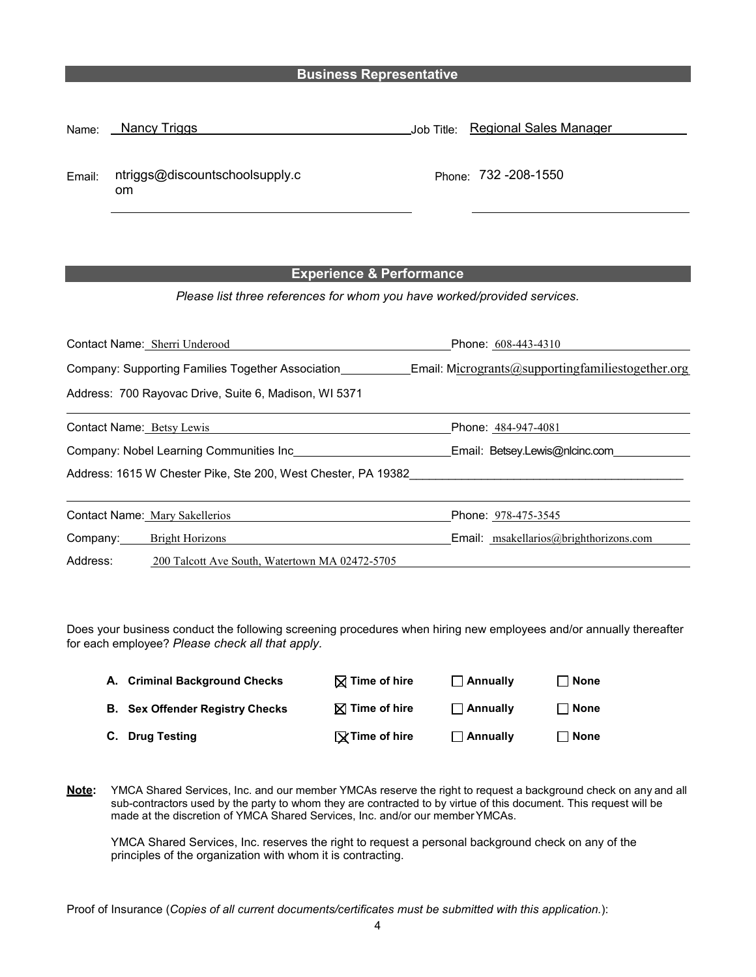#### **Business Representative**

| Name:  | Nancy Triggs                         | Job Title: Regional Sales Manager |
|--------|--------------------------------------|-----------------------------------|
| Email: | ntriggs@discountschoolsupply.c<br>om | Phone: 732 -208-1550              |

#### **Experience & Performance**

*Please list three references for whom you have worked/provided services.*

| Contact Name: Sherri Underood                                 | Phone: 608-443-4310                               |
|---------------------------------------------------------------|---------------------------------------------------|
| Company: Supporting Families Together Association             | Email: Microgrants@supportingfamiliestogether.org |
| Address: 700 Rayovac Drive, Suite 6, Madison, WI 5371         |                                                   |
| <b>Contact Name: Betsy Lewis</b>                              | Phone: 484-947-4081                               |
| Company: Nobel Learning Communities Inc                       | Email: Betsey.Lewis@nlcinc.com                    |
| Address: 1615 W Chester Pike, Ste 200, West Chester, PA 19382 |                                                   |
| Contact Name: Mary Sakellerios                                | Phone: 978-475-3545                               |
| Company: Bright Horizons                                      | Email: msakellarios@brighthorizons.com            |
| Address:<br>200 Talcott Ave South, Watertown MA 02472-5705    |                                                   |

Does your business conduct the following screening procedures when hiring new employees and/or annually thereafter for each employee? *Please check all that apply.*

| A. Criminal Background Checks          | $\boxtimes$ Time of hire | $\Box$ Annually | $\Box$ None |
|----------------------------------------|--------------------------|-----------------|-------------|
| <b>B.</b> Sex Offender Registry Checks | $\boxtimes$ Time of hire | $\Box$ Annually | $\Box$ None |
| C. Drug Testing                        | $\sqrt{ }$ Time of hire  | $\Box$ Annually | $\Box$ None |

**Note:** YMCA Shared Services, Inc. and our member YMCAs reserve the right to request a background check on any and all sub-contractors used by the party to whom they are contracted to by virtue of this document. This request will be made at the discretion of YMCA Shared Services, Inc. and/or our memberYMCAs.

YMCA Shared Services, Inc. reserves the right to request a personal background check on any of the principles of the organization with whom it is contracting.

Proof of Insurance (*Copies of all current documents/certificates must be submitted with this application.*):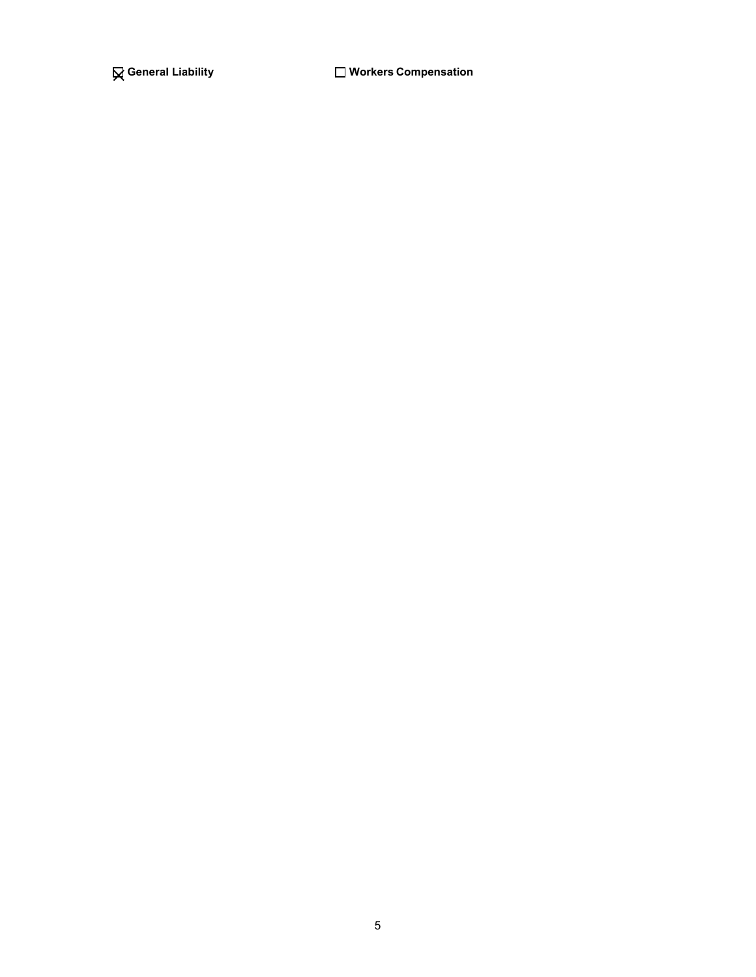**General Liability Workers Compensation**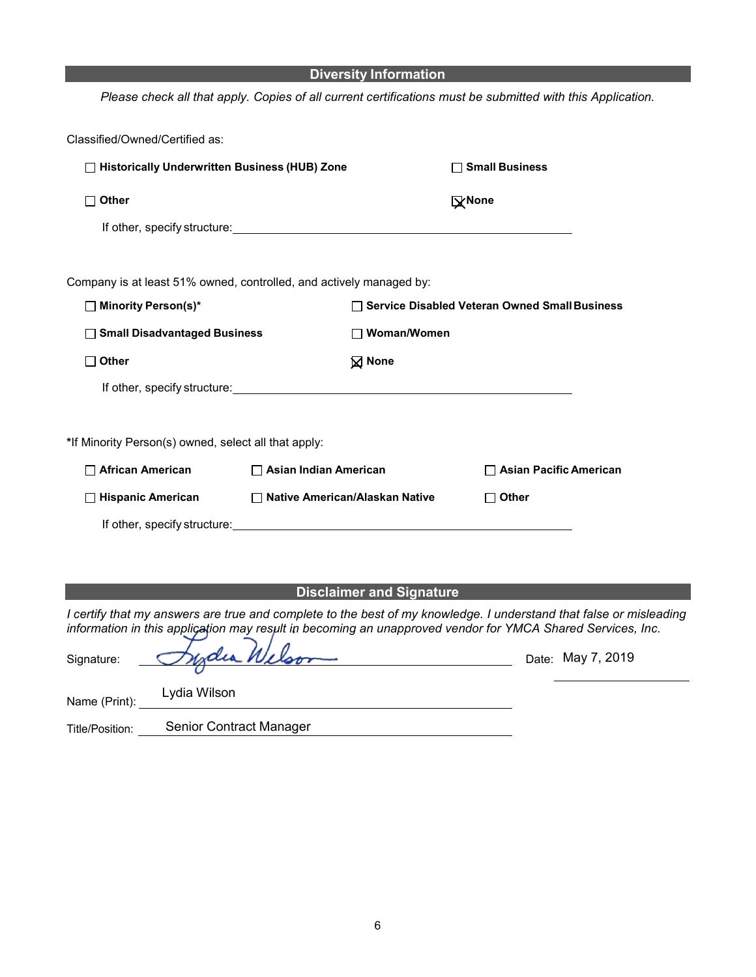|                                                                                                                                                                                                                                |                                  | <b>Diversity Information</b>                    |                               |  |
|--------------------------------------------------------------------------------------------------------------------------------------------------------------------------------------------------------------------------------|----------------------------------|-------------------------------------------------|-------------------------------|--|
| Please check all that apply. Copies of all current certifications must be submitted with this Application.                                                                                                                     |                                  |                                                 |                               |  |
|                                                                                                                                                                                                                                |                                  |                                                 |                               |  |
| Classified/Owned/Certified as:                                                                                                                                                                                                 |                                  |                                                 |                               |  |
| □ Historically Underwritten Business (HUB) Zone                                                                                                                                                                                |                                  |                                                 | □ Small Business              |  |
| Other                                                                                                                                                                                                                          |                                  |                                                 | <b>X</b> None                 |  |
|                                                                                                                                                                                                                                |                                  |                                                 |                               |  |
|                                                                                                                                                                                                                                |                                  |                                                 |                               |  |
| Company is at least 51% owned, controlled, and actively managed by:                                                                                                                                                            |                                  |                                                 |                               |  |
| □ Minority Person(s)*                                                                                                                                                                                                          |                                  | □ Service Disabled Veteran Owned Small Business |                               |  |
| <b>Small Disadvantaged Business</b>                                                                                                                                                                                            |                                  | $\Box$ Woman/Women                              |                               |  |
| <b>Other</b>                                                                                                                                                                                                                   |                                  | <b>⊠</b> None                                   |                               |  |
| If other, specify structure: example and the structure of the structure of the structure of the structure of the structure of the structure of the structure of the structure of the structure of the structure of the structu |                                  |                                                 |                               |  |
|                                                                                                                                                                                                                                |                                  |                                                 |                               |  |
| *If Minority Person(s) owned, select all that apply:                                                                                                                                                                           |                                  |                                                 |                               |  |
| <b>African American</b>                                                                                                                                                                                                        | $\Box$ Asian Indian American     |                                                 | $\Box$ Asian Pacific American |  |
| □ Hispanic American                                                                                                                                                                                                            | □ Native American/Alaskan Native |                                                 | $\Box$ Other                  |  |
| If other, specify structure: www.assett.com/www.assett.com/www.assett.com/www.assett.com/www.assett.com/www.assett.com/www.assett.com/www.assett.com/www.assett.com/www.assett.com/www.assett.com/www.assett.com/www.assett.co |                                  |                                                 |                               |  |
|                                                                                                                                                                                                                                |                                  |                                                 |                               |  |
|                                                                                                                                                                                                                                |                                  |                                                 |                               |  |

### **Disclaimer and Signature**

*I certify that my answers are true and complete to the best of my knowledge. I understand that false or misleading information in this application may result in becoming an unapproved vendor for YMCA Shared Services, Inc.*

| Signature:      | Judia Welson            |  | Date: May 7, 2019 |  |
|-----------------|-------------------------|--|-------------------|--|
| Name (Print):   | Lydia Wilson            |  |                   |  |
| Title/Position: | Senior Contract Manager |  |                   |  |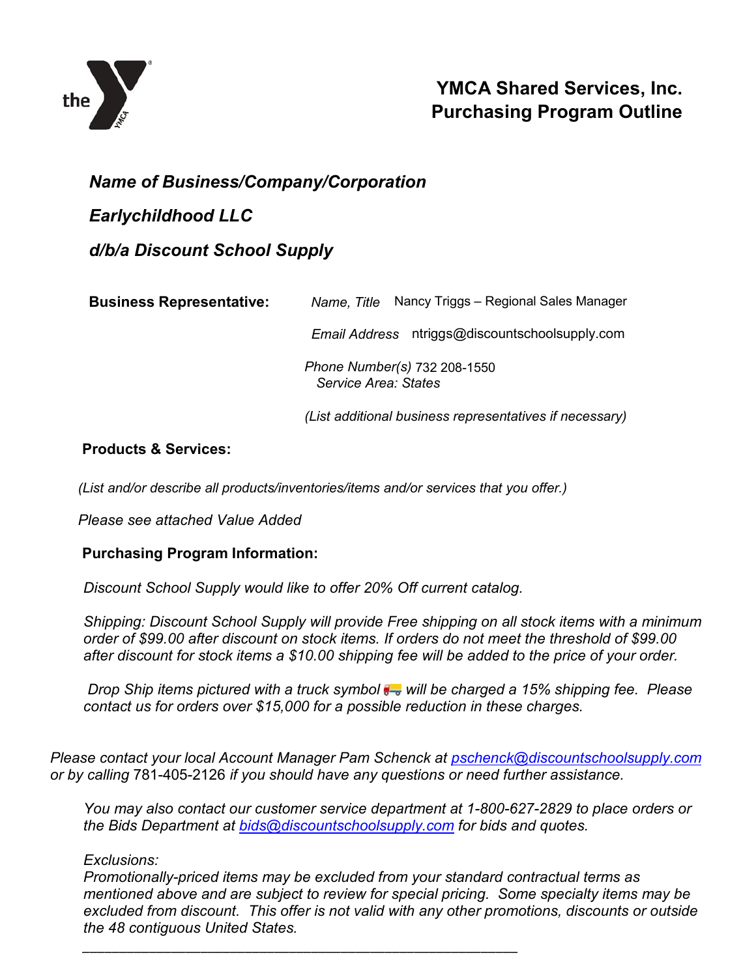

# **YMCA Shared Services, Inc. Purchasing Program Outline**

## *Name of Business/Company/Corporation*

# *Earlychildhood LLC*

# *d/b/a Discount School Supply*

| <b>Business Representative:</b> | Name, Title Nancy Triggs - Regional Sales Manager        |  |  |
|---------------------------------|----------------------------------------------------------|--|--|
|                                 | ntriggs@discountschoolsupply.com<br><b>Email Address</b> |  |  |
|                                 | Phone Number(s) 732 208-1550<br>Service Area: States     |  |  |
|                                 | (List additional business representatives if necessary)  |  |  |

### **Products & Services:**

*(List and/or describe all products/inventories/items and/or services that you offer.)*

*Please see attached Value Added*

### **Purchasing Program Information:**

*Discount School Supply would like to offer 20% Off current catalog.* 

*\_\_\_\_\_\_\_\_\_\_\_\_\_\_\_\_\_\_\_\_\_\_\_\_\_\_\_\_\_\_\_\_\_\_\_\_\_\_\_\_\_\_\_\_\_\_\_\_\_\_\_\_\_\_\_\_\_\_\_*

*Shipping: Discount School Supply will provide Free shipping on all stock items with a minimum order of \$99.00 after discount on stock items. If orders do not meet the threshold of \$99.00 after discount for stock items a \$10.00 shipping fee will be added to the price of your order.* 

*Drop Ship items pictured with a truck symbol*  $\frac{1}{2}$  will be charged a 15% shipping fee. Please *contact us for orders over \$15,000 for a possible reduction in these charges.*

*Please contact your local Account Manager Pam Schenck at [pschenck@discountschoolsupply.com](mailto:pschenck@discountschoolsupply.com) or by calling* 781-405-2126 *if you should have any questions or need further assistance.* 

*You may also contact our customer service department at 1-800-627-2829 to place orders or the Bids Department at [bids@discountschoolsupply.com](mailto:bids@discountschoolsupply.com) for bids and quotes.* 

### *Exclusions:*

*Promotionally-priced items may be excluded from your standard contractual terms as mentioned above and are subject to review for special pricing. Some specialty items may be excluded from discount. This offer is not valid with any other promotions, discounts or outside the 48 contiguous United States.*